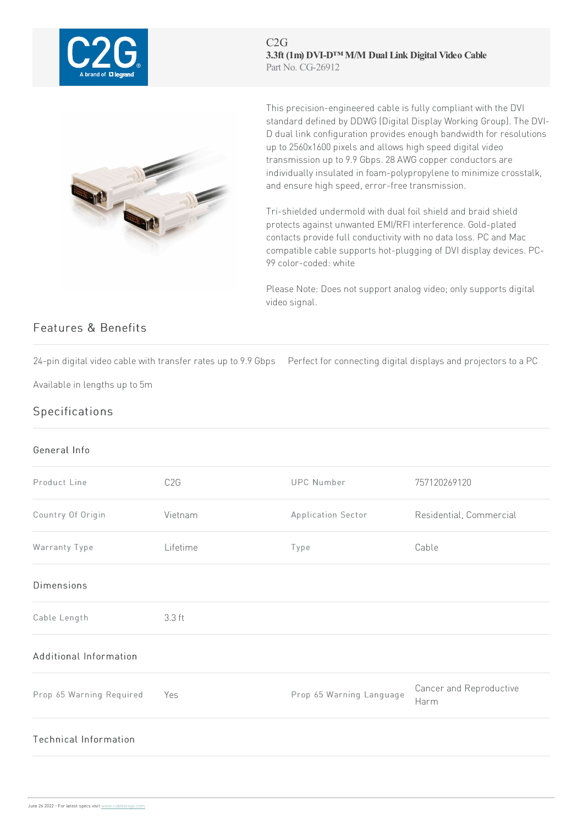

C2G **3.3ft (1m) DVI-D™ M/M Dual Link Digital Video Cable** Part No. CG-26912



This precision-engineered cable is fully compliant with the DVI standard defined by DDWG (Digital Display Working Group).The DVI-D dual link configuration provides enough bandwidth for resolutions up to 2560x1600 pixels and allows high speed digital video transmission up to 9.9 Gbps. 28 AWG copper conductors are individually insulated in foam-polypropylene to minimize crosstalk, and ensure high speed, error-free transmission.

Tri-shielded undermold with dual foil shield and braid shield protects against unwanted EMI/RFI interference. Gold-plated contacts provide full conductivity with no data loss. PC and Mac compatible cable supports hot-plugging of DVI display devices. PC-99color-coded: white

Please Note: Does not support analog video; only supports digital video signal.

## Features & Benefits

24-pin digital video cable with transfer rates up to 9.9 Gbps Perfect for connecting digital displays and projectors to a PC

Available in lengths up to 5m

## Specifications

## General Info

| Product Line                 | C <sub>2</sub> G | UPC Number               | 757120269120                    |
|------------------------------|------------------|--------------------------|---------------------------------|
| Country Of Origin            | Vietnam          | Application Sector       | Residential, Commercial         |
| Warranty Type                | Lifetime         | Type                     | Cable                           |
| <b>Dimensions</b>            |                  |                          |                                 |
| Cable Length                 | 3.3 ft           |                          |                                 |
| Additional Information       |                  |                          |                                 |
| Prop 65 Warning Required     | Yes              | Prop 65 Warning Language | Cancer and Reproductive<br>Harm |
| <b>Technical Information</b> |                  |                          |                                 |
|                              |                  |                          |                                 |